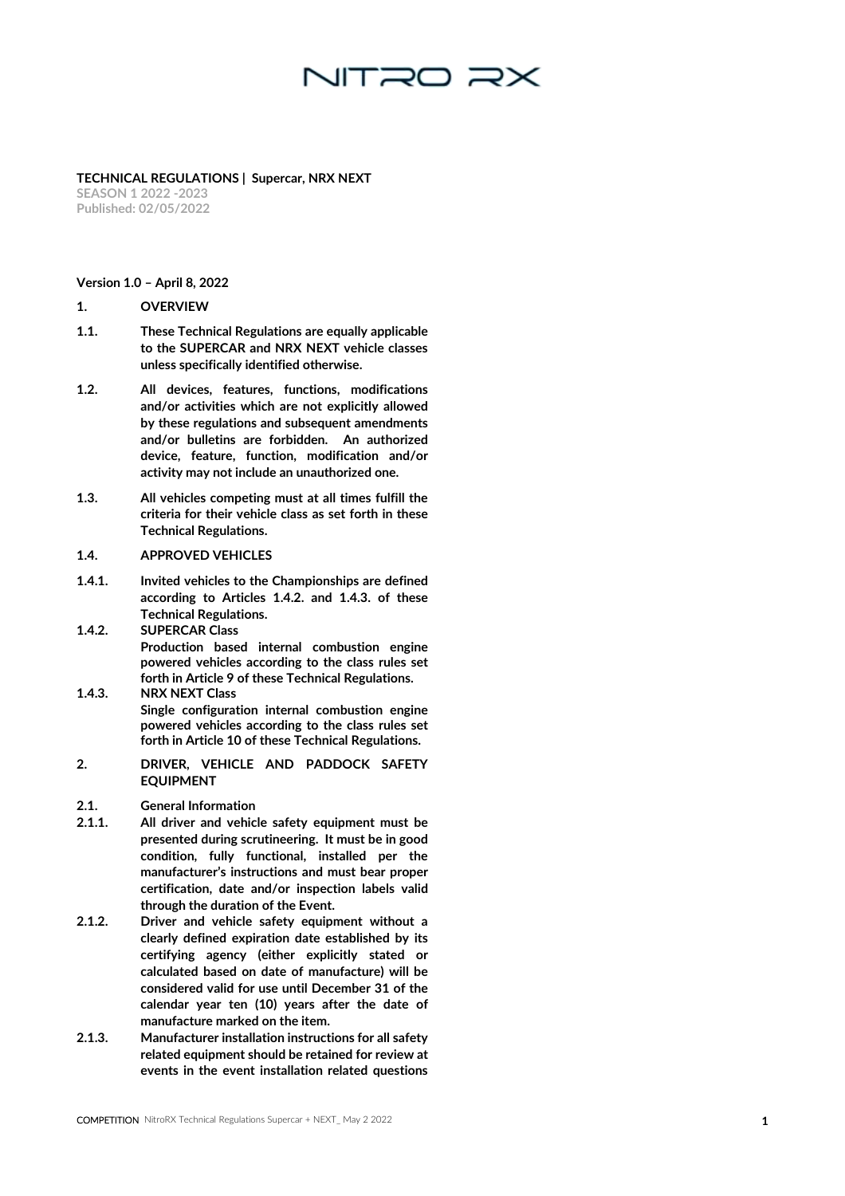**TECHNICAL REGULATIONS | Supercar, NRX NEXT SEASON 1 2022 -2023 Published: 02/0 5/2022**

#### **Version 1.0 – April 8, 2022**

#### **1. OVERVIEW**

- 1.1. These Technical Regulations are equally applicable to the SUPERCAR and NRX NEXT vehicle classes unless specifically identified otherwise.
- 1.2. All devices, features, functions, modifications and/or activities which are not explicitly allowed by these regulations and subsequent amendments and/or bulletins are forbidden. An authorized device, feature, function, modification and/or activity may not include an unauthorized one.
- 1.3. All vehicles competing must at all times fulfill the criteria for their vehicle class as set forth in these Technical Regulations.

#### 1.4. APPROVED VEHICLES

- 1.4.1. Invited vehicles to the Championships are defined according to Articles 1.4.2. and 1.4.3. of these Technical Regulations.
- 1.4.2. SUPERCAR Class Production based internal combustion engine powered vehicles according to the class rules set forth in Article 9 of these Technical Regulations.
- 1.4.3. NRX NEXT Class Single configuration internal combustion engine powered vehicles according to the class rules set forth in Article 10 of these Technical Regulations.
- **2. DRIVER, VEHICLE AND PADDOCK SAFETY EQUIPMENT**
- 2.1. General Information
- **1** 2.1.1. All driver and vehicle safety equipment must be presented during scrutineering. It must be in good condition, fully functional, installed per the manufacturer's instructions and must bear proper certification, date and/or inspection labels valid through the duration of the Event.
- 2.1.2. Driver and vehicle safety equipment without a clearly defined expiration date established by its certifying agency (either explicitly stated or calculated based on date of manufacture) will be considered valid for use until December 31 of the calendar year ten (10) years after the date of manufacture marked on the item.
- 2.1.3. Manufacturer installation instructions for all safety related equipment should be retained for review at events in the event installation related questions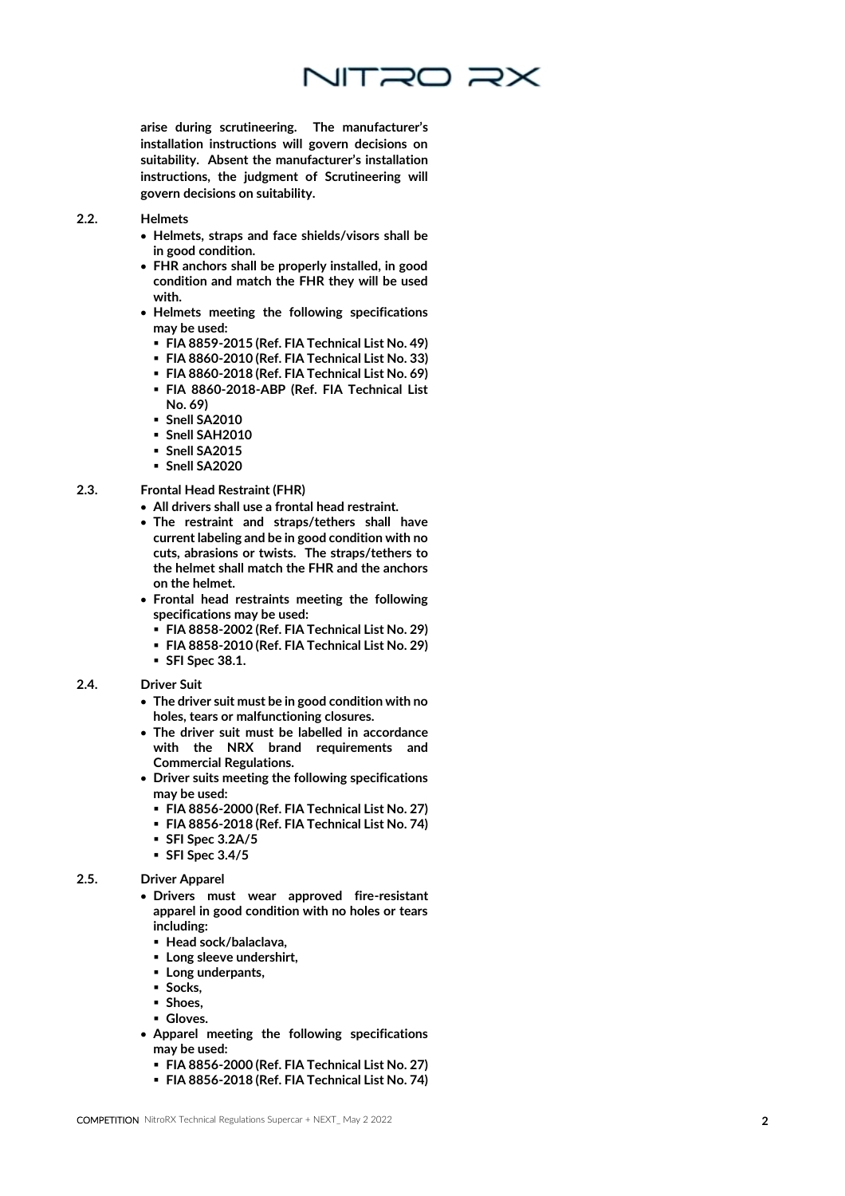

arise during scrutineering. The manufacturer's installation instructions will govern decisions on suitability. Absent the manufacturer's installation instructions, the judgment of Scrutineering will govern decisions on suitability.

#### 2.2. Helmets

- Helmets, straps and face shields/visors shall be in good condition.
- FHR anchors shall be properly installed, in good condition and match the FHR they will be used with.
- Helmets meeting the following specifications may be used:
	- FIA 8859-2015 (Ref. FIA Technical List No. 49)
	- FIA 8860-2010 (Ref. FIA Technical List No. 33)
	- FIA 8860-2018 (Ref. FIA Technical List No. 69)
	- FIA 8860-2018-ABP (Ref. FIA Technical List No. 69)
	- Snell SA2010
	- Snell SAH2010
	- Snell SA2015
	- Snell SA2020

#### 2.3. Frontal Head Restraint (FHR)

- All drivers shall use a frontal head restraint.
- The restraint and straps/tethers shall have current labeling and be in good condition with no cuts, abrasions or twists. The straps/tethers to the helmet shall match the FHR and the anchors on the helmet.
- Frontal head restraints meeting the following specifications may be used:
	- FIA 8858-2002 (Ref. FIA Technical List No. 29)
	- FIA 8858-2010 (Ref. FIA Technical List No. 29)
	- SFI Spec 38.1.

#### 2.4. Driver Suit

- The driver suit must be in good condition with no holes, tears or malfunctioning closures.
- The driver suit must be labelled in accordance with the NRX brand requirements and Commercial Regulations.
- Driver suits meeting the following specifications may be used:
	- FIA 8856-2000 (Ref. FIA Technical List No. 27)
	- FIA 8856-2018 (Ref. FIA Technical List No. 74)
	- SFI Spec 3.2A/5
	- SFI Spec 3.4/5

#### 2.5. Driver Apparel

- Drivers must wear approved fire -resistant apparel in good condition with no holes or tears including:
	- Head sock/balaclava,
	- Long sleeve undershirt,
	- Long underpants,
	- Socks,
	- Shoes,
- Gloves.
- Apparel meeting the following specifications may be used:
	- FIA 8856-2000 (Ref. FIA Technical List No. 27)
	- FIA 8856-2018 (Ref. FIA Technical List No. 74)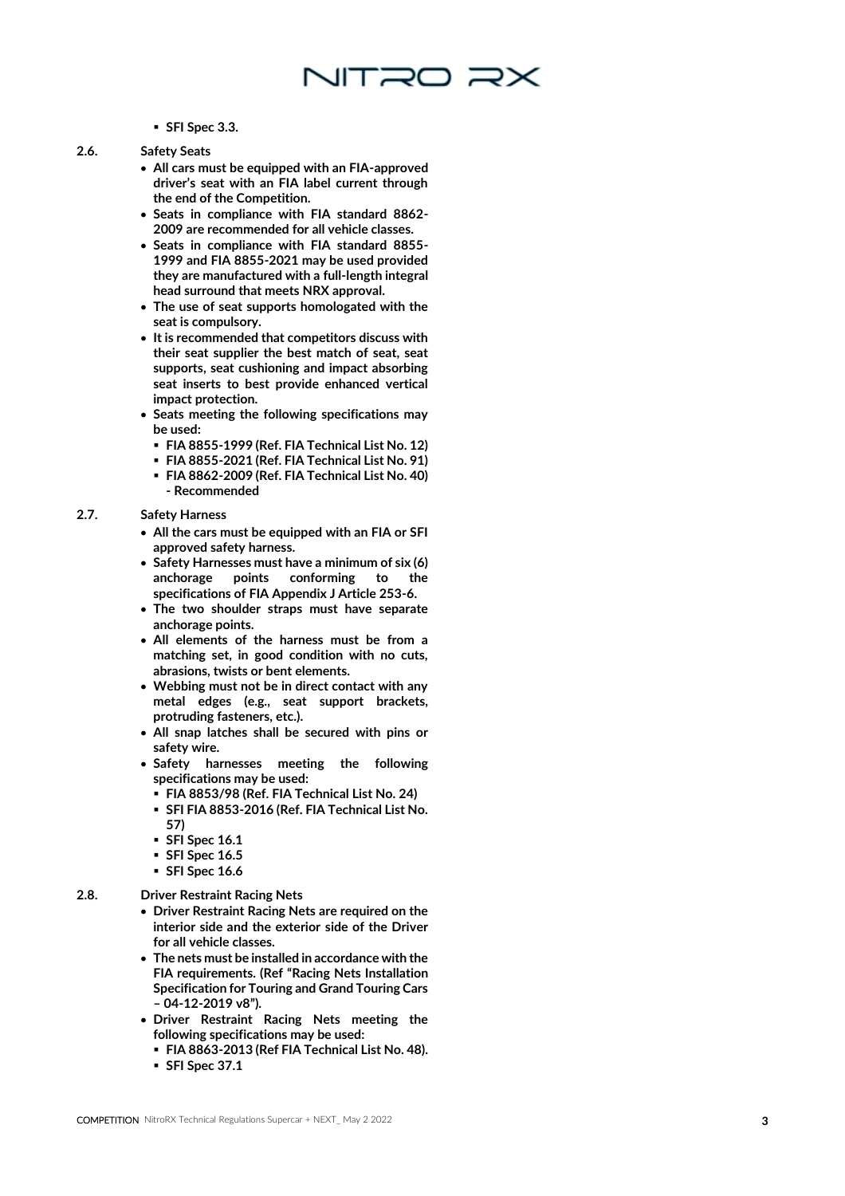#### ▪ SFI Spec 3.3.

- 
- 2.6. Safety Seats
	- All cars must be equipped with an FIA -approved driver's seat with an FIA label current through the end of the Competition.

NITRO RX

- **Seats in compliance with FIA standard 8862 - 2009 are recommended for all vehicle classes.**
- Seats in compliance with FIA standard 8855 1999 and FIA 8855 -2021 may be used provided they are manufactured with a full -length integral head surround that meets NRX approval.
- The use of seat supports homologated with the seat is compulsory.
- It is recommended that competitors discuss with their seat supplier the best match of seat, seat supports, seat cushioning and impact absorbing seat inserts to best provide enhanced vertical impact protection.
- Seats meeting the following specifications may be used:
	- FIA 8855 -1999 (Ref. FIA Technical List No. 12)
	- FIA 8855 -2021 (Ref. FIA Technical List No. 91)
	- **FIA 8862 -2009 (Ref. FIA Technical List No. 40) - Recommended**

#### 2.7. Safety Harness

- All the cars must be equipped with an FIA or SFI approved safety harness.
- Safety Harnesses must have a minimum of six (6) anchorage points conforming to the specifications of FIA Appendix J Article 253 -6.
- The two shoulder straps must have separate anchorage points.
- All elements of the harness must be from a matching set, in good condition with no cuts, abrasions, twists or bent elements.
- Webbing must not be in direct contact with any metal edges (e.g., seat support brackets, protruding fasteners, etc.).
- All snap latches shall be secured with pins or safety wire.
- Safety harnesses meeting the following specifications may be used:
	- FIA 8853/98 (Ref. FIA Technical List No. 24)
	- SFI FIA 8853-2016 (Ref. FIA Technical List No. 57)
	- SFI Spec 16.1
	- SFI Spec 16.5
	- SFI Spec 16.6

#### 2.8. Driver Restraint Racing Nets

- Driver Restraint Racing Nets are required on the interior side and the exterior side of the Driver for all vehicle classes.
- The nets must be installed in accordance with the FIA requirements. (Ref "Racing Nets Installation Specification for Touring and Grand Touring Cars – 04-12-2019 v8").
- Driver Restraint Racing Nets meeting the following specifications may be used:
	- FIA 8863-2013 (Ref FIA Technical List No. 48).
	- SFI Spec 37.1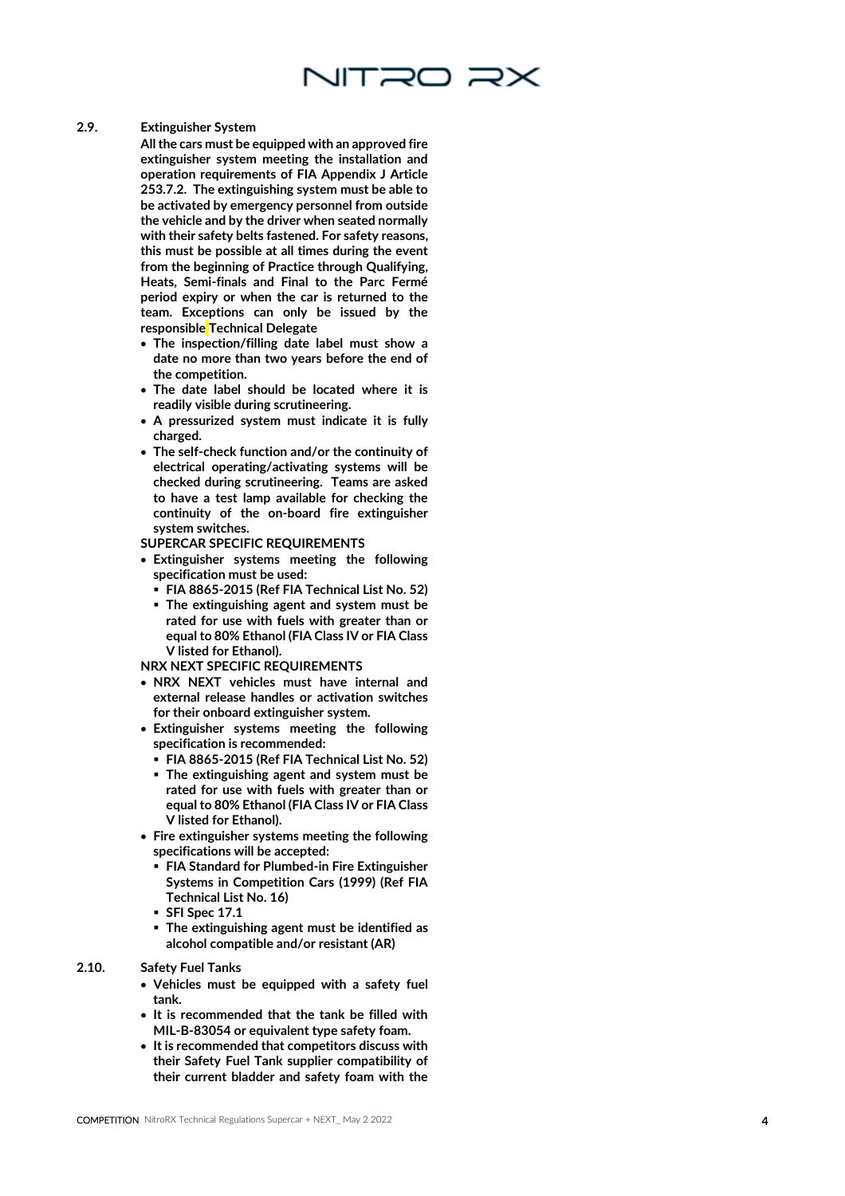

#### 2.9. Extinguisher System

All the cars must be equipped with an approved fire extinguisher system meeting the installation and operation requirements of FIA Appendix J Article 253.7.2. The extinguishing system must be able to be activated by emergency personnel from outside the vehicle and by the driver when seated normally with their safety belts fastened. For safety reasons, this must be possible at all times during the event from the beginning of Practice through Qualifying, Heats, Semi -finals and Final to the Parc Fermé period expiry or when the car is returned to the team. Exceptions can only be issued by the responsible Technical Delegate

- The inspection/filling date label must show a date no more than two years before the end of the competition.
- The date label should be located where it is readily visible during scrutineering.
- A pressurized system must indicate it is fully charged.
- The self -check function and/or the continuity of electrical operating/activating systems will be checked during scrutineering. Teams are asked to have a test lamp available for checking the continuity of the on -board fire extinguisher system switches.
- SUPERCAR SPECIFIC REQUIREMENTS
- Extinguisher systems meeting the following specification must be used:
	- FIA 8865-2015 (Ref FIA Technical List No. 52)
	- The extinguishing agent and system must be rated for use with fuels with greater than or equal to 80% Ethanol (FIA Class IV or FIA Class V listed for Ethanol).

#### NRX NEXT SPECIFIC REQUIREMENTS

- NRX NEXT vehicles must have internal and external release handles or activation switches for their onboard extinguisher system.
- Extinguisher systems meeting the following specification is **recommended** :
	- FIA 8865 -2015 (Ref FIA Technical List No. 52)
	- **· The extinguishing agent and system must be** rated for use with fuels with greater than or equal to 80% Ethanol (FIA Class IV or FIA Class V listed for Ethanol).
- Fire extinguisher systems meeting the following specifications will be accepted:
	- FIA Standard for Plumbed-in Fire Extinguisher Systems in Competition Cars (1999) (Ref FIA Technical List No. 16)
	- SFI Spec 17.1
	- The extinguishing agent must be identified as alcohol compatible and/or resistant (AR)
- 2.10. Safety Fuel Tanks
	- Vehicles must be equipped with a safety fuel tank.
	- It is recommended that the tank be filled with MIL - B -83054 or equivalent type safety foam.
	- It is recommended that competitors discuss with their Safety Fuel Tank supplier compatibility of their current bladder and safety foam with the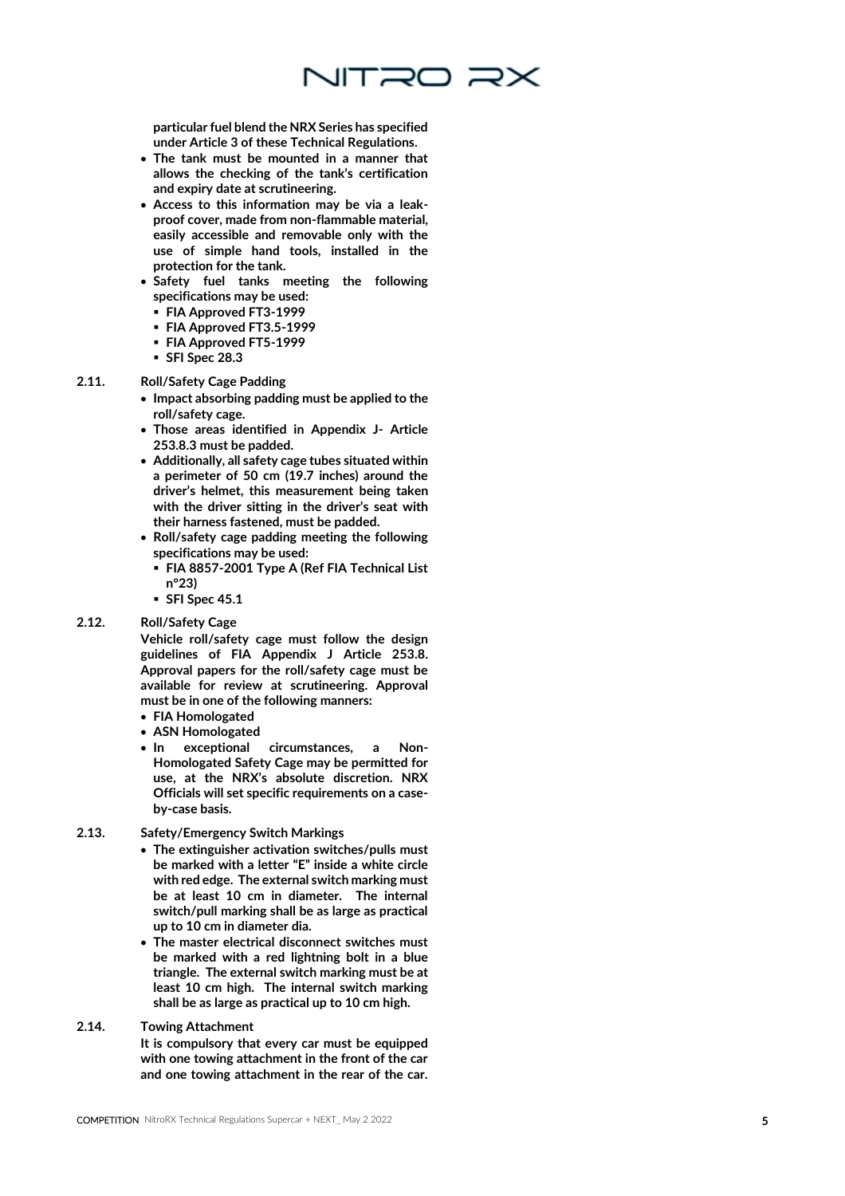

particular fuel blend the NRX Series has specified under Article 3 of these Technical Regulations.

- The tank must be mounted in a manner that allows the checking of the tank's certification and expiry date at scrutineering.
- Access to this information may be via a leak proof cover, made from non -flammable material, easily accessible and removable only with the use of simple hand tools, installed in the protection for the tank.
- Safety fuel tanks meeting the following specifications may be used:
	- FIA Approved FT3-1999
	- FIA Approved FT3.5-1999
	- FIA Approved FT5-1999
	- SFI Spec 28.3

#### 2.11. Roll/Safety Cage Padding

- Impact absorbing padding must be applied to the roll/safety cage.
- Those areas identified in Appendix J Article 253.8.3 must be padded.
- Additionally, all safety cage tubes situated within a perimeter of 50 cm (19.7 inches) around the driver's helmet, this measurement being taken with the driver sitting in the driver's seat with their harness fastened, must be padded.
- Roll/safety cage padding meeting the following specifications may be used:
	- FIA 8857-2001 Type A (Ref FIA Technical List n°23)
- SFI Spec 45.1

#### 2.12. Roll/Safety Cage

Vehicle roll/safety cage must follow the design guidelines of FIA Appendix J Article 253.8. Approval papers for the roll/safety cage must be available for review at scrutineering. Approval must be in one of the following manners:

- FIA Homologated
- ASN Homologated
- $\bullet$  In exceptional circumstances, a Non-Homologated Safety Cage may be permitted for use, at the NRX's absolute discretion. NRX Officials will set specific requirements on a case by -case basis.
- 2.13. Safety/Emergency Switch Markings
	- The extinguisher activation switches/pulls must be marked with a letter "E" inside a white circle with red edge. The external switch marking must be at least 10 cm in diameter. The internal switch/pull marking shall be as large as practical up to 10 cm in diameter dia.
	- The master electrical disconnect switches must be marked with a red lightning bolt in a blue triangle. The external switch marking must be at least 10 cm high. The internal switch marking shall be as large as practical up to 10 cm high.
- 2.14. Towing Attachment

It is compulsory that every car must be equipped with one towing attachment in the front of the car and one towing attachment in the rear of the car.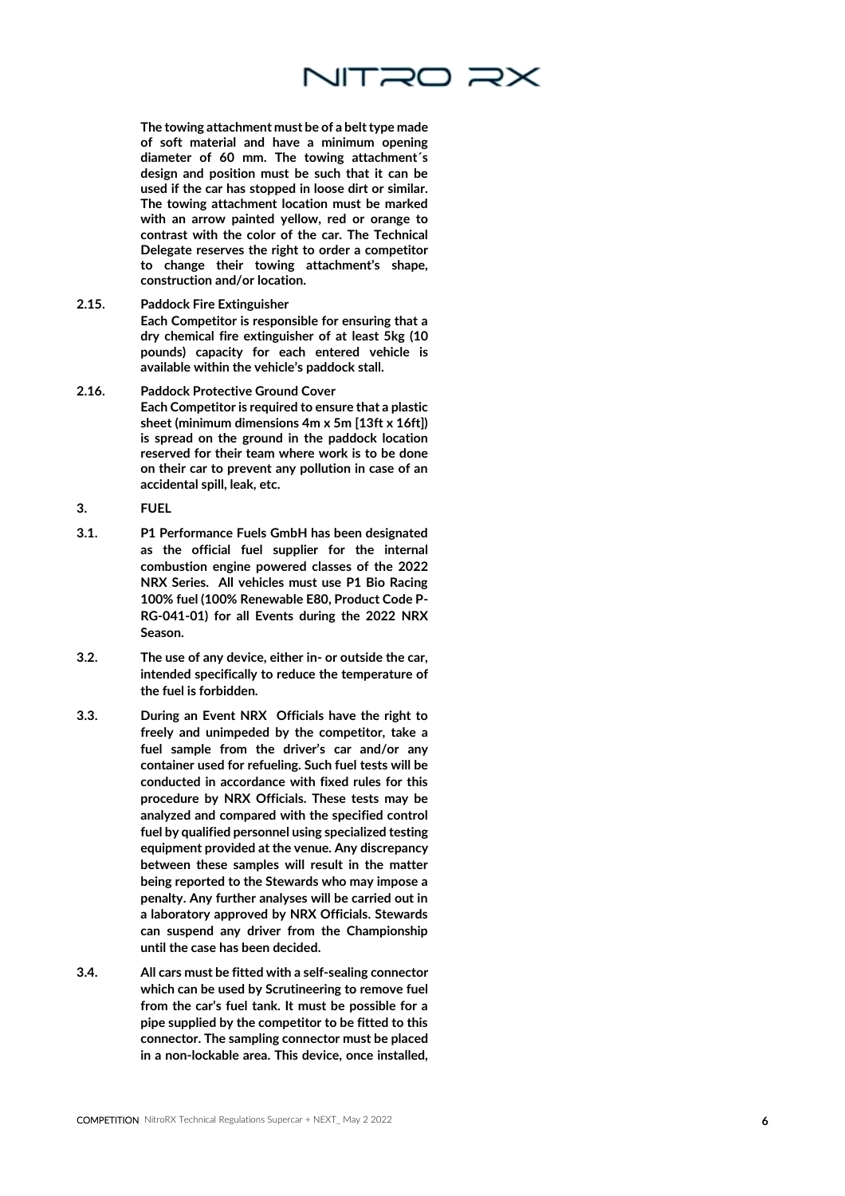

The towing attachment must be of a belt type made of soft material and have a minimum opening diameter of 60 mm. The towing attachment´s design and position must be such that it can be used if the car has stopped in loose dirt or similar. The towing attachment location must be marked with an arrow painted yellow, red or orange to contrast with the color of the car. The Technical Delegate reserves the right to order a competitor to change their towing attachment's shape, construction and/or location.

2.15. Paddock Fire Extinguisher

Each Competitor is responsible for ensuring that a dry chemical fire extinguisher of at least 5kg (10 pounds) capacity for each entered vehicle is available within the vehicle's paddock stall.

- 2.16. Paddock Protective Ground Cover Each Competitor is required to ensure that a plastic sheet (minimum dimensions 4m x 5m [13ft x 16ft]) is spread on the ground in the paddock location reserved for their team where work is to be done on their car to prevent any pollution in case of an accidental spill, leak, etc.
- **3. FUEL**
- 3.1. P1 Performance Fuels GmbH has been designated as the official fuel supplier for the internal combustion engine powered classes of the 2022 NRX Series. All vehicles must use P1 Bio Racing 100% fuel (100% Renewable E80, Product Code P - RG -041 -01) for all Events during the 2022 NRX Season.
- 3.2. The use of any device, either in or outside the car, intended specifically to reduce the temperature of the fuel is forbidden.
- 3.3. During an Event NRX Officials have the right to freely and unimpeded by the competitor, take a fuel sample from the driver's car and/or any container used for refueling. Such fuel tests will be conducted in accordance with fixed rules for this procedure by NRX Officials. These tests may be analyzed and compared with the specified control fuel by qualified personnel using specialized testing equipment provided at the venue. Any discrepancy between these samples will result in the matter being reported to the Stewards who may impose a penalty. Any further analyses will be carried out in a laboratory approved by NRX Officials. Stewards can suspend any driver from the Championship until the case has been decided.
- 3.4. All cars must be fitted with a self -sealing connector which can be used by Scrutineering to remove fuel from the car's fuel tank. It must be possible for a pipe supplied by the competitor to be fitted to this connector. The sampling connector must be placed in a non -lockable area. This device, once installed,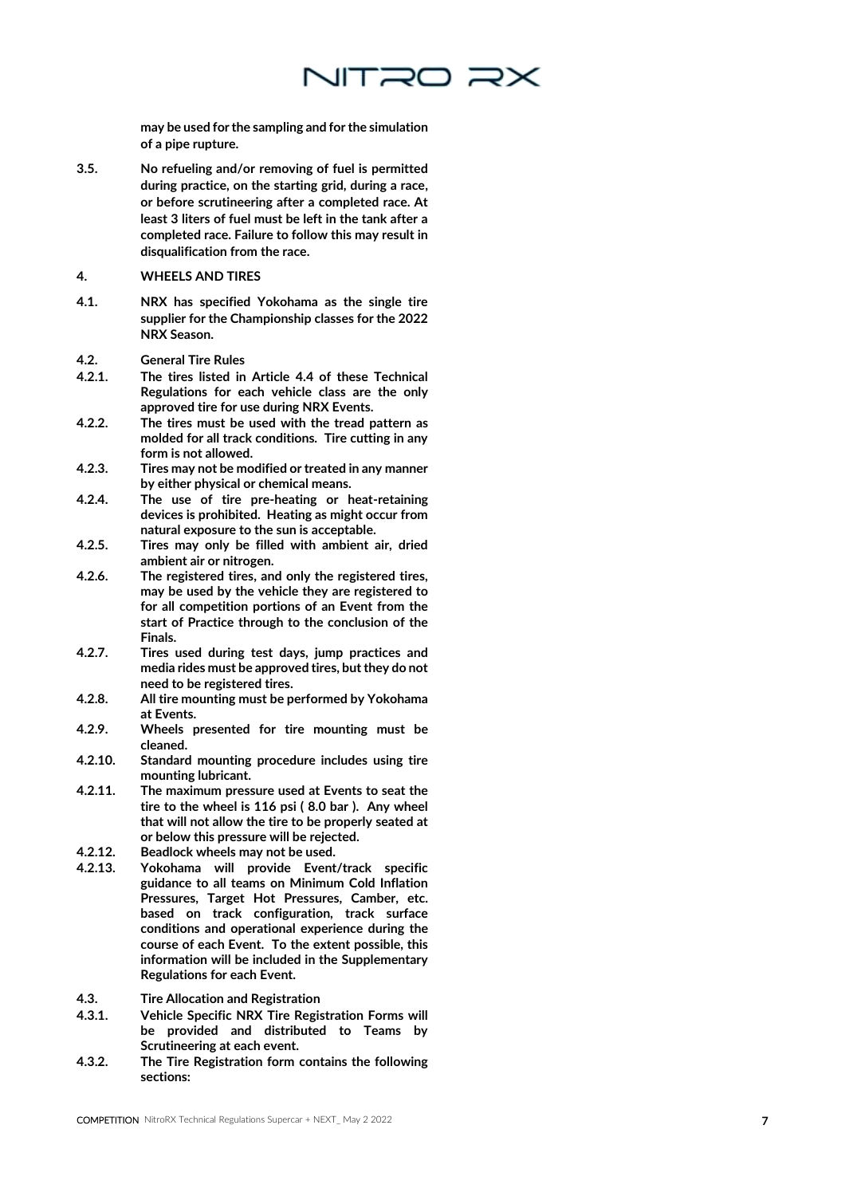

may be used for the sampling and for the simulation of a pipe rupture.

- 3.5. No refueling and/or removing of fuel is permitted during practice, on the starting grid, during a race, or before scrutineering after a completed race. At least 3 liters of fuel must be left in the tank after a completed race. Failure to follow this may result in disqualification from the race.
- **4. WHEELS AND TIRES**
- 4.1. NRX has specified Yokohama as the single tire supplier for the Championship classes for the 2022 NRX Season.
- 4.2. General Tire Rules
- 4.2.1. The tires listed in Article 4.4 of these Technical Regulations for each vehicle class are the only approved tire for use during NRX Events.
- 4.2.2. The tires must be used with the tread pattern as molded for all track conditions. Tire cutting in any form is not allowed.
- 4.2.3. Tires may not be modified or treated in any manner by either physical or chemical means.
- 4.2.4. The use of tire pre -heating or heat -retaining devices is prohibited. Heating as might occur from natural exposure to the sun is acceptable.
- 4.2.5. Tires may only be filled with ambient air, dried ambient air or nitrogen.
- 4.2.6. The registered tires, and only the registered tires, may be used by the vehicle they are registered to for all competition portions of an Event from the start of Practice through to the conclusion of the Finals.
- 4.2.7. Tires used during test days, jump practices and media rides must be approved tires, but they do not need to be registered tires.
- 4.2.8. All tire mounting must be performed by Yokohama at Events.
- 4.2.9. Wheels presented for tire mounting must be cleaned.
- 4.2.10. Standard mounting procedure includes using tire mounting lubricant.
- 4.2.11. The maximum pressure used at Events to seat the tire to the wheel is 116 psi ( 8.0 bar ). Any wheel that will not allow the tire to be properly seated at or below this pressure will be rejected.
- 4.2.12. Beadlock wheels may not be used.<br>4.2.13. Yokohama will provide Event
- Yokohama will provide Event/track specific guidance to all teams on Minimum Cold Inflation Pressures, Target Hot Pressures, Camber, etc. based on track configuration, track surface conditions and operational experience during the course of each Event. To the extent possible, this information will be included in the Supplementary Regulations for each Event.
- 4.3. Tire Allocation and Registration
- 4.3.1. Vehicle Specific NRX Tire Registration Forms will be provided and distributed to Teams by Scrutineering at each event.
- 4.3.2. The Tire Registration form contains the following sections: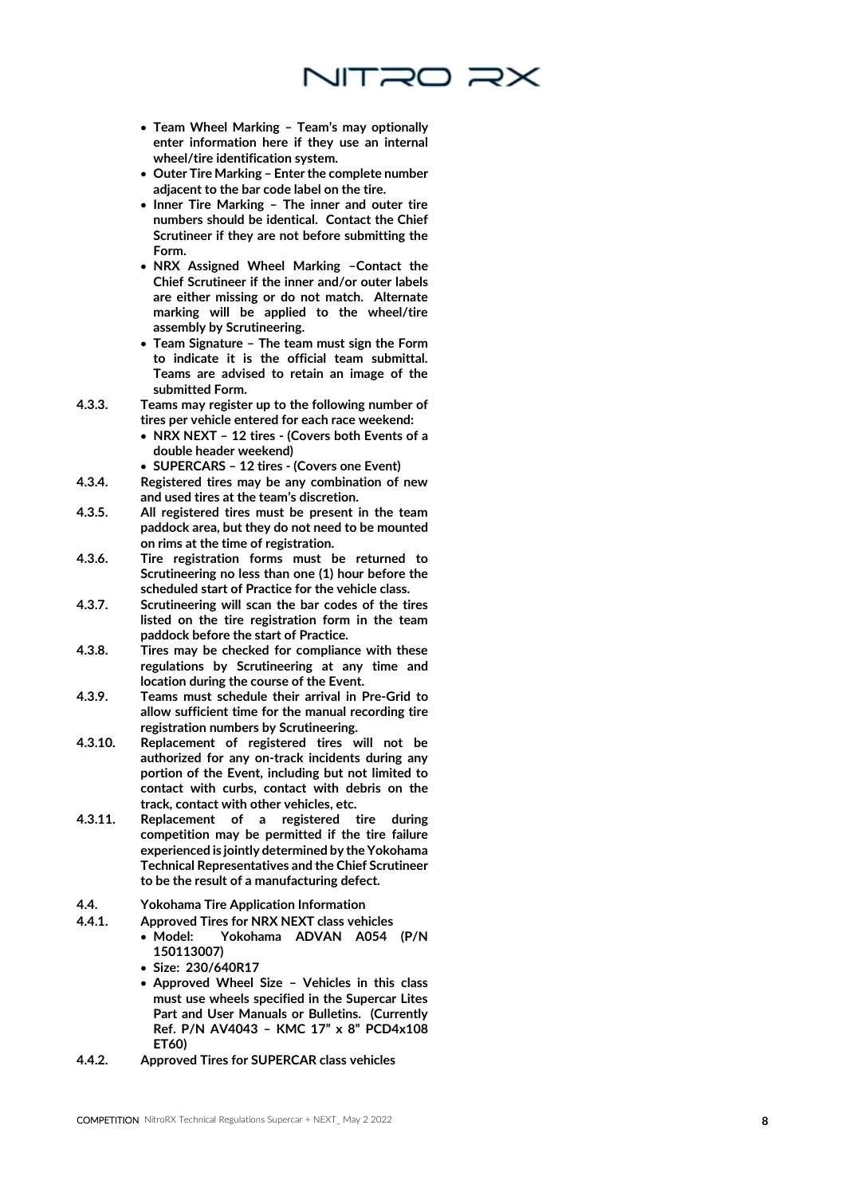

- Team Wheel Marking Team's may optionally enter information here if they use an internal wheel/tire identification system.
- Outer Tire Marking Enter the complete number adjacent to the bar code label on the tire.
- Inner Tire Marking The inner and outer tire numbers should be identical. Contact the Chief Scrutineer if they are not before submitting the Form.
- NRX Assigned Wheel Marking –Contact the Chief Scrutineer if the inner and/or outer labels are either missing or do not match. Alternate marking will be applied to the wheel/tire assembly by Scrutineering.
- $\bullet\,$  Team Signature The team must sign the Form to indicate it is the official team submittal. Teams are advised to retain an image of the submitted Form.
- 4.3.3. Teams may register up to the following number of tires per vehicle entered for each race weekend:
	- NRX NEXT 12 tires (Covers both Events of a double header weekend)
	- SUPERCARS 12 tires (Covers one Event)
- 4.3.4. Registered tires may be any combination of new and used tires at the team's discretion.
- 4.3.5. All registered tires must be present in the team paddock area, but they do not need to be mounted on rims at the time of registration.
- 4.3.6. Tire registration forms must be returned to Scrutineering no less than one (1) hour before the scheduled start of Practice for the vehicle class.
- 4.3.7. Scrutineering will scan the bar codes of the tires listed on the tire registration form in the team paddock before the start of Practice.
- 4.3.8. Tires may be checked for compliance with these regulations by Scrutineering at any time and location during the course of the Event.
- 4.3.9. Teams must schedule their arrival in Pre -Grid to allow sufficient time for the manual recording tire registration numbers by Scrutineering.
- 4.3.10. Replacement of registered tires will not be authorized for any on -track incidents during any portion of the Event, including but not limited to contact with curbs, contact with debris on the track, contact with other vehicles, etc.
- 4.3.11. Replacement of a registered tire during competition may be permitted if the tire failure experienced is jointly determined by the Yokohama Technical Representatives and the Chief Scrutineer to be the result of a manufacturing defect.
- 4.4. Yokohama Tire Application Information
- 4.4.1. Approved Tires for NRX NEXT class vehicles
	- Model: Yokohama ADVAN A054 (P/N 150113007)
		- Size: 230/640R17
		- Approved Wheel Size Vehicles in this class must use wheels specified in the Supercar Lites Part and User Manuals or Bulletins. (Currently Ref. P/N AV4043 – KMC 17" x 8" PCD4x108 ET60)
- 4.4.2. Approved Tires for SUPERCAR class vehicles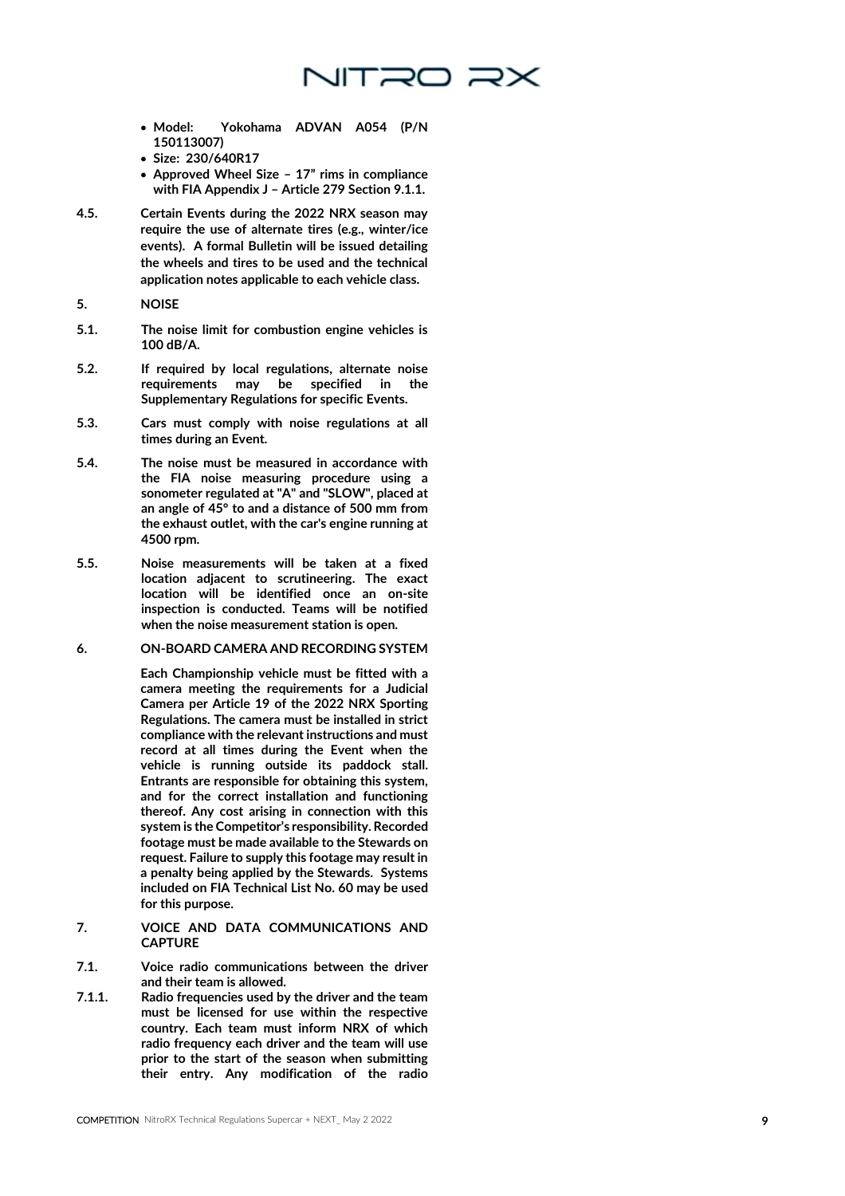

- Model: Yokohama ADVAN A054 (P/N 150113007)
- Size: 230/640R17
- Approved Wheel Size 17" rims in compliance with FIA Appendix J – Article 279 Section 9.1.1.
- 4.5. Certain Events during the 2022 NRX season may require the use of alternate tires (e.g., winter/ice events). A formal Bulletin will be issued detailing the wheels and tires to be used and the technical application notes applicable to each vehicle class.
- **5. NOISE**
- 5.1. The noise limit for combustion engine vehicles is 100 dB/A.
- 5.2. If required by local regulations, alternate noise requirements may be specified in the Supplementary Regulations for specific Events.
- 5.3. Cars must comply with noise regulations at all times during an Event.
- 5.4. The noise must be measured in accordance with the FIA noise measuring procedure using a sonometer regulated at "A" and "SLOW", placed at an angle of 45° to and a distance of 500 mm from the exhaust outlet, with the car's engine running at 4500 rpm.
- 5.5. Noise measurements will be taken at a fixed location adjacent to scrutineering. The exact location will be identified once an on -site inspection is conducted. Teams will be notified when the noise measurement station is open.
- **6. ON -BOARD CAMERA AND RECORDING SYSTEM**

Each Championship vehicle must be fitted with a camera meeting the requirements for a Judicial Camera per Article 19 of the 2022 NRX Sporting Regulations. The camera must be installed in strict compliance with the relevant instructions and must record at all times during the Event when the vehicle is running outside its paddock stall. Entrants are responsible for obtaining this system, and for the correct installation and functioning thereof. Any cost arising in connection with this system is the Competitor's responsibility. Recorded footage must be made available to the Stewards on request. Failure to supply this footage may result in a penalty being applied by the Stewards. Systems included on FIA Technical List No. 60 may be used for this purpose.

- **7. VOICE AND DATA COMMUNICATIONS AND CAPTURE**
- 7.1. Voice radio communications between the driver and their team is allowed.
- 7.1.1. Radio frequencies used by the driver and the team must be licensed for use within the respective country. Each team must inform NRX of which radio frequency each driver and the team will use prior to the start of the season when submitting their entry. Any modification of the radio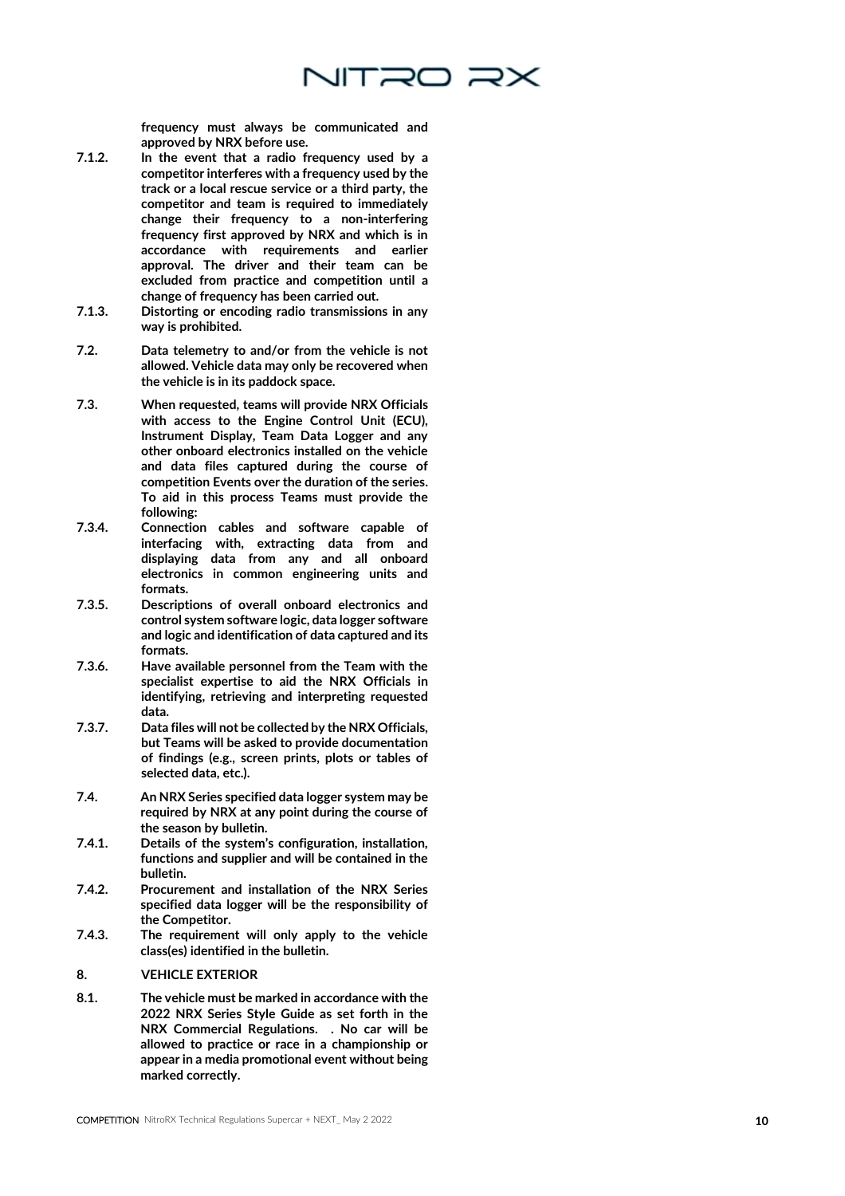

frequency must always be communicated and approved by NRX before use.

- 7.1.2. In the event that a radio frequency used by a competitor interferes with a frequency used by the track or a local rescue service or a third party, the competitor and team is required to immediately change their frequency to a non -interfering frequency first approved by NRX and which is in accordance with requirements and earlier approval. The driver and their team can be excluded from practice and competition until a change of frequency has been carried out.
- 7.1.3. Distorting or encoding radio transmissions in any way is prohibited.
- 7.2. Data telemetry to and/or from the vehicle is not allowed. Vehicle data may only be recovered when the vehicle is in its paddock space.
- 7.3. When requested, teams will provide NRX Officials with access to the Engine Control Unit (ECU), Instrument Display, Team Data Logger and any other onboard electronics installed on the vehicle and data files captured during the course of competition Events over the duration of the series. To aid in this process Teams must provide the following:
- 7.3.4. Connection cables and software capable of interfacing with, extracting data from and displaying data from any and all onboard electronics in common engineering units and formats.
- 7.3.5. Descriptions of overall onboard electronics and control system software logic, data logger software and logic and identification of data captured and its formats.
- 7.3.6. Have available personnel from the Team with the specialist expertise to aid the NRX Officials in identifying, retrieving and interpreting requested data.
- 7.3.7. Data files will not be collected by the NRX Officials, but Teams will be asked to provide documentation of findings (e.g., screen prints, plots or tables of selected data, etc.).
- 7.4. An NRX Series specified data logger system may be required by NRX at any point during the course of the season by bulletin.
- 7.4.1. Details of the system's configuration, installation, functions and supplier and will be contained in the bulletin.
- 7.4.2. Procurement and installation of the NRX Series specified data logger will be the responsibility of the Competitor.
- 7.4.3. The requirement will only apply to the vehicle class(es) identified in the bulletin.
- **8. VEHICLE EXTERIOR**
- 8.1. The vehicle must be marked in accordance with the 2022 NRX Series Style Guide as set forth in the NRX Commercial Regulations. . No car will be allowed to practice or race in a championship or appear in a media promotional event without being marked correctly.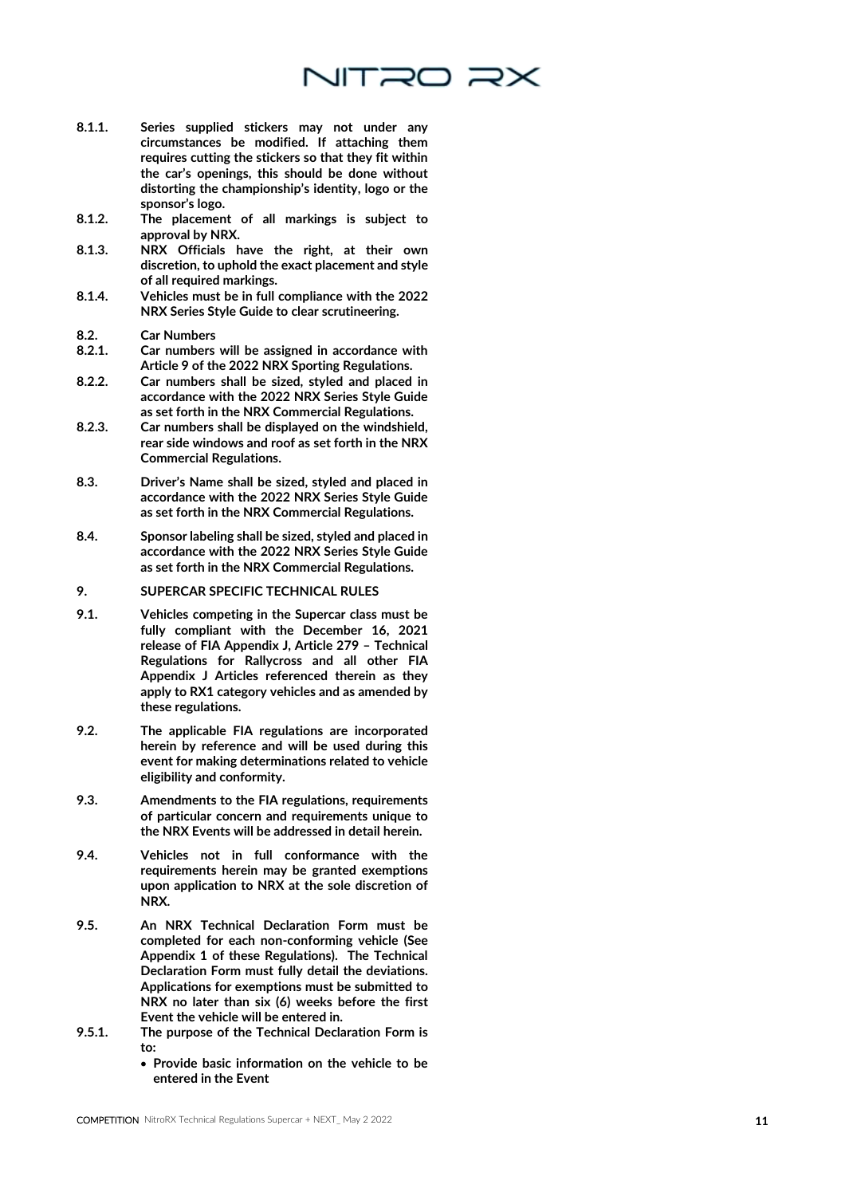- 8.1.1. Series supplied stickers may not under any circumstances be modified. If attaching them requires cutting the stickers so that they fit within the car's openings, this should be done without distorting the championship's identity, logo or the sponsor's logo.
- 8.1.2. The placement of all markings is subject to approval by NRX.
- 8.1.3. NRX Officials have the right, at their own discretion, to uphold the exact placement and style of all required markings.
- 8.1.4. Vehicles must be in full compliance with the 2022 NRX Series Style Guide to clear scrutineering.
- 8.2. Car Numbers<br>8.2.1. Car numbers
- Car numbers will be assigned in accordance with Article 9 of the 2022 NRX Sporting Regulations.
- 8.2.2. Car numbers shall be sized, styled and placed in accordance with the 2022 NRX Series Style Guide as set forth in the NRX Commercial Regulations.
- 8.2.3. Car numbers shall be displayed on the windshield, rear side windows and roof as set forth in the NRX Commercial Regulations.
- 8.3. Driver's Name shall be sized, styled and placed in accordance with the 2022 NRX Series Style Guide as set forth in the NRX Commercial Regulations.
- 8.4. Sponsor labeling shall be sized, styled and placed in accordance with the 2022 NRX Series Style Guide as set forth in the NRX Commercial Regulations.
- **9. SUPERCAR SPECIFIC TECHNICAL RULES**
- 9.1. Vehicles competing in the Supercar class must be fully compliant with the December 16, 2021 release of FIA Appendix J, Article 279 – Technical Regulations for Rallycross and all other FIA Appendix J Articles referenced therein as they apply to RX1 category vehicles and as amended by these regulations.
- 9.2. The applicable FIA regulations are incorporated herein by reference and will be used during this event for making determinations related to vehicle eligibility and conformity.
- 9.3. Amendments to the FIA regulations, requirements of particular concern and requirements unique to the NRX Events will be addressed in detail herein.
- 9.4. Vehicles not in full conformance with the requirements herein may be granted exemptions upon application to NRX at the sole discretion of NRX.
- 9.5. An NRX Technical Declaration Form must be completed for each non -conforming vehicle (See Appendix 1 of these Regulations). The Technical Declaration Form must fully detail the deviations. Applications for exemptions must be submitted to NRX no later than six (6) weeks before the first Event the vehicle will be entered in.
- 9.5.1. The purpose of the Technical Declaration Form is to:
	- Provide basic information on the vehicle to be entered in the Event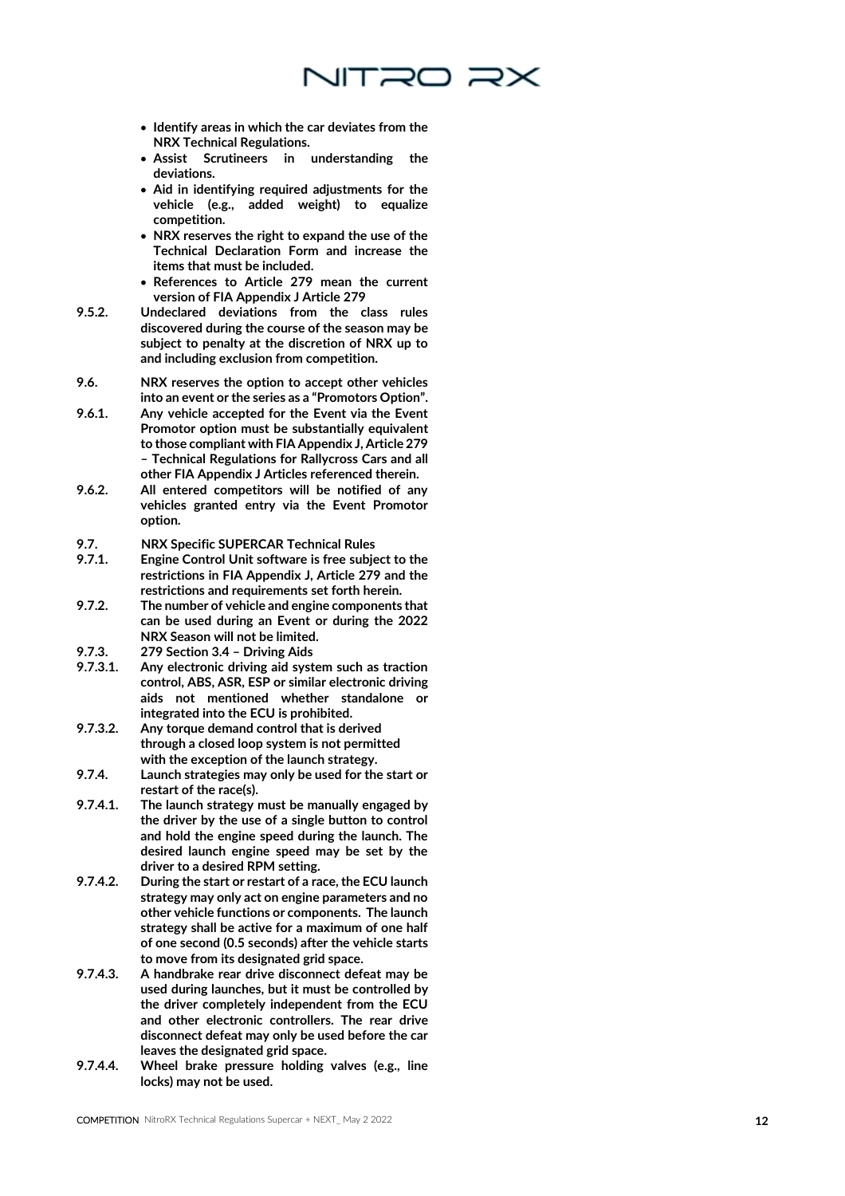

- NRX Technical Regulations.
- Assist Scrutineers in understanding the deviations.
- Aid in identifying required adjustments for the vehicle (e.g., added weight) to equalize competition.
- NRX reserves the right to expand the use of the Technical Declaration Form and increase the items that must be included.
- References to Article 279 mean the current version of FIA Appendix J Article 279
- 9.5.2. Undeclared deviations from the class rules discovered during the course of the season may be subject to penalty at the discretion of NRX up to and including exclusion from competition.
- 9.6. NRX reserves the option to accept other vehicles into an event or the series as a "Promotors Option".
- 9.6.1. Any vehicle accepted for the Event via the Event Promotor option must be substantially equivalent to those compliant with FIA Appendix J, Article 279 – Technical Regulations for Rallycross Cars and all other FIA Appendix J Articles referenced therein.
- 9.6.2. All entered competitors will be notified of any vehicles granted entry via the Event Promotor option.

9.7. NRX Specific SUPERCAR Technical Rules<br>9.7.1. Engine Control Unit software is free subje

- 9.7.1. Engine Control Unit software is free subject to the restrictions in FIA Appendix J, Article 279 and the restrictions and requirements set forth herein.
- 9.7.2. The number of vehicle and engine components that can be used during an Event or during the 2022 NRX Season will not be limited.

9.7.3. 279 Section 3.4 – Driving Aids

- 9.7.3.1. Any electronic driving aid system such as traction control, ABS, ASR, ESP or similar electronic driving aids not mentioned whether standalone or integrated into the ECU is prohibited.
- 9.7.3.2. Any torque demand control that is derived through a closed loop system is not permitted with the exception of the launch strategy.
- 9.7.4. Launch strategies may only be used for the start or restart of the race(s).
- 9.7.4.1. The launch strategy must be manually engaged by the driver by the use of a single button to control and hold the engine speed during the launch. The desired launch engine speed may be set by the driver to a desired RPM setting.
- **Control of the control of the car external Regulation** Technical Regulations Supercolar Control of the car external Regulations Supercolar Control of the car external Regulations Supercolar + NEXT\_CONTENTS (SUPERCAR TEChn 9.7.4.2. During the start or restart of a race, the ECU launch strategy may only act on engine parameters and no other vehicle functions or components. The launch strategy shall be active for a maximum of one half of one second (0.5 seconds) after the vehicle starts to move from its designated grid space.
- 9.7.4.3. A handbrake rear drive disconnect defeat may be used during launches, but it must be controlled by the driver completely independent from the ECU and other electronic controllers. The rear drive disconnect defeat may only be used before the car leaves the designated grid space.
- 9.7.4.4. Wheel brake pressure holding valves (e.g., line locks) may not be used.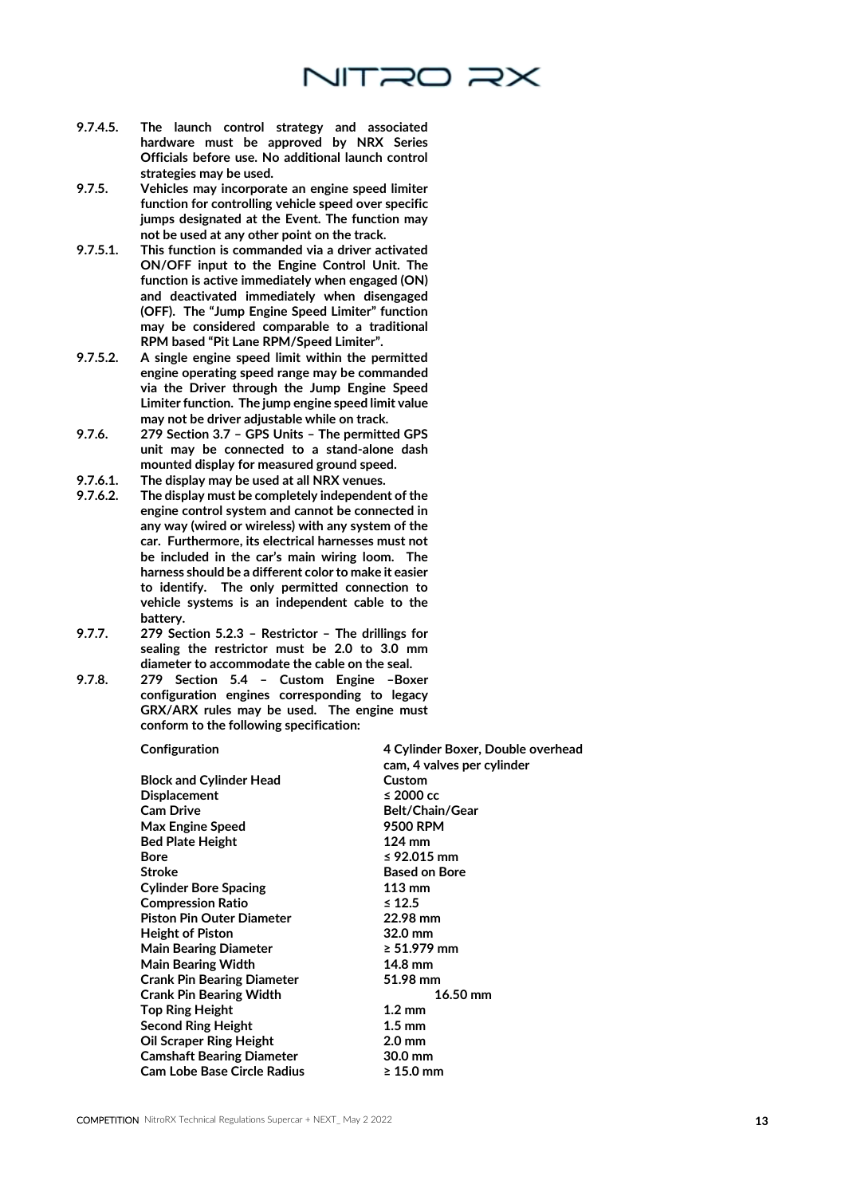

- 9.7.4.5. The launch control strategy and associated hardware must be approved by NRX Series Officials before use. No additional launch control strategies may be used.
- 9.7.5. Vehicles may incorporate an engine speed limiter function for controlling vehicle speed over specific jumps designated at the Event. The function may not be used at any other point on the track.
- 9.7.5.1. This function is commanded via a driver activated ON/OFF input to the Engine Control Unit. The function is active immediately when engaged (ON) and deactivated immediately when disengaged (OFF). The "Jump Engine Speed Limiter" function may be considered comparable to a traditional RPM based "Pit Lane RPM/Speed Limiter".
- 9.7.5.2. A single engine speed limit within the permitted engine operating speed range may be commanded via the Driver through the Jump Engine Speed Limiter function. The jump engine speed limit value may not be driver adjustable while on track.
- 9.7.6. 279 Section 3.7 GPS Units The permitted GPS unit may be connected to a stand-alone dash mounted display for measured ground speed.
- 9.7.6.1. The display may be used at all NRX venues.<br>9.7.6.2. The display must be completely independen
- The display must be completely independent of the engine control system and cannot be connected in any way (wired or wireless) with any system of the car. Furthermore, its electrical harnesses must not be included in the car's main wiring loom. The harness should be a different color to make it easier to identify. The only permitted connection to vehicle systems is an independent cable to the battery.
- 9.7.7. 279 Section 5.2.3 Restrictor The drillings for sealing the restrictor must be 2.0 to 3.0 mm diameter to accommodate the cable on the seal.
- 9.7.8. 279 Section 5.4 Custom Engine –Boxer configuration engines corresponding to legacy GRX/ARX rules may be used. The engine must conform to the following specification:

Block and Cylinder Head Custom Displacement ≤ 2000 cc Cam Drive **Belt/Chain/Gear** Max Engine Speed 9500 RPM Bed Plate Height 124 mm Bore  $\leq 92.015$  mm Stroke **Based on Bore** Cylinder Bore Spacing 113 mm Compression Ratio ≤ 12.5 Piston Pin Outer Diameter 22.98 mm **Height of Piston** Main Bearing Diameter ≥ 51.979 mm Main Bearing Width 14.8 mm Crank Pin Bearing Diameter 51.98 mm Crank Pin Bearing Width 16.50 mm Top Ring Height 1.2 mm Second Ring Height 1.5 mm Oil Scraper Ring Height 2.0 mm Camshaft Bearing Diameter 30.0 mm Cam Lobe Base Circle Radius ≥ 15.0 mm

Configuration 4 Cylinder Boxer, Double overhead cam, 4 valves per cylinder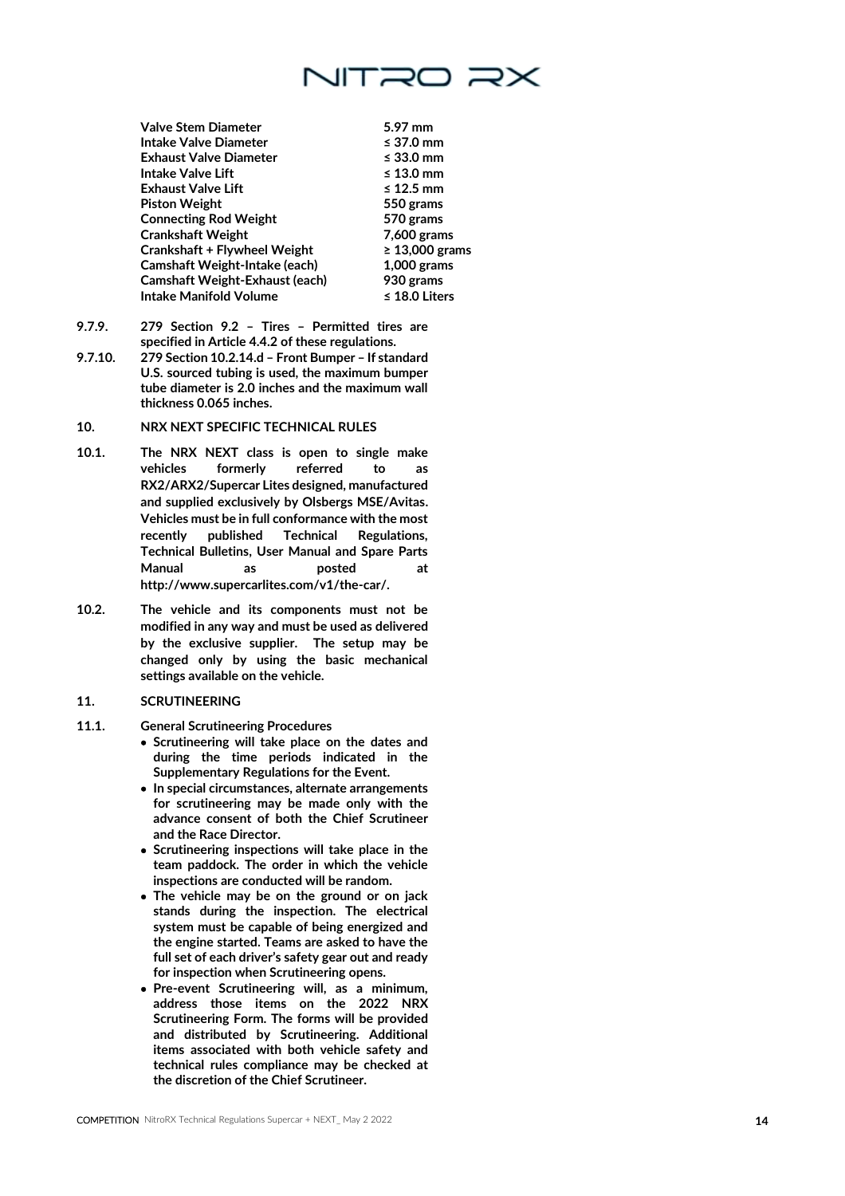

Valve Stem Diameter 5.97 mm Intake Valve Diameter ≤ 37.0 mm Exhaust Valve Diameter ≤ 33.0 mm Intake Valve Lift ≤ 13.0 mm Exhaust Valve Lift Piston Weight 550 grams **Connecting Rod Weight** Crankshaft Weight 7,600 grams Crankshaft + Flywheel Weight  $\geq 13,000$  grams Camshaft Weight -Intake (each) 1,000 grams Camshaft Weight -Exhaust (each) 930 grams Intake Manifold Volume ≤ 18.0 Liters

- 9.7.9. 279 Section 9.2 Tires Permitted tires are specified in Article 4.4.2 of these regulations.
- 9.7.10. 279 Section 10.2.14.d Front Bumper If standard U.S. sourced tubing is used, the maximum bumper tube diameter is 2.0 inches and the maximum wall thickness 0.065 inches.

#### **10. NRX NEXT SPECIFIC TECHNICAL RULES**

- 10.1. The NRX NEXT class is open to single make vehicles formerly referred to as RX2/ARX2/Supercar Lites designed, manufactured and supplied exclusively by Olsbergs MSE/Avitas. Vehicles must be in full conformance with the most recently published Technical Regulations, Technical Bulletins, User Manual and Spare Parts Manual as posted at [http://www.supercarlites.com/v1/the](http://www.supercarlites.com/v1/the-car/) -car/ .
- 10.2. The vehicle and its components must not be modified in any way and must be used as delivered by the exclusive supplier. The setup may be changed only by using the basic mechanical settings available on the vehicle.

#### **11. SCRUTINEERING**

- 11.1. General Scrutineering Procedures
	- Scrutineering will take place on the dates and during the time periods indicated in the Supplementary Regulations for the Event.
	- In special circumstances, alternate arrangements for scrutineering may be made only with the advance consent of both the Chief Scrutineer and the Race Director.
	- Scrutineering inspections will take place in the team paddock. The order in which the vehicle inspections are conducted will be random.
	- The vehicle may be on the ground or on jack stands during the inspection. The electrical system must be capable of being energized and the engine started. Teams are asked to have the full set of each driver's safety gear out and ready for inspection when Scrutineering opens.
	- Pre -event Scrutineering will, as a minimum, address those items on the 2022 NRX Scrutineering Form. The forms will be provided and distributed by Scrutineering. Additional items associated with both vehicle safety and technical rules compliance may be checked at the discretion of the Chief Scrutineer.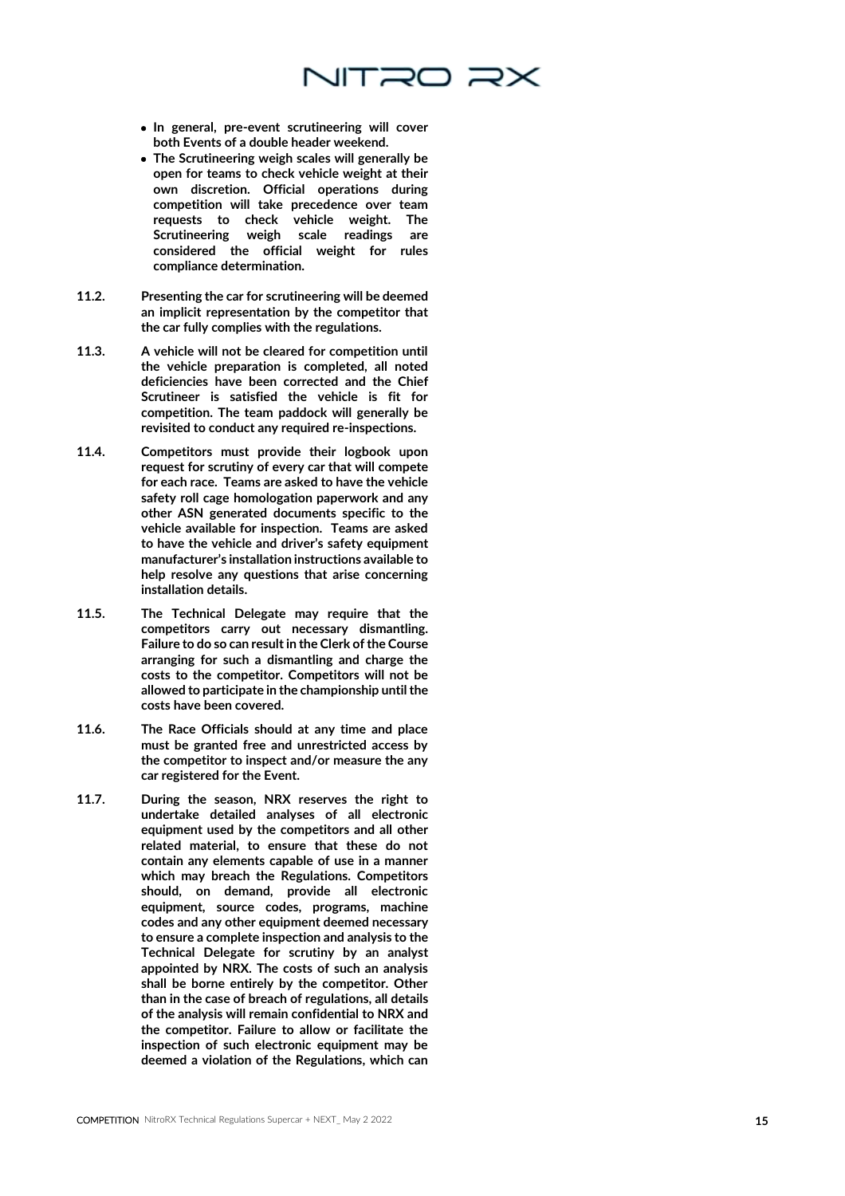

- both Events of a double header weekend.
- The Scrutineering weigh scales will generally be open for teams to check vehicle weight at their own discretion. Official operations during competition will take precedence over team requests to check vehicle weight. The Scrutineering weigh scale readings are considered the official weight for rules compliance determination.
- 11.2. Presenting the car for scrutineering will be deemed an implicit representation by the competitor that the car fully complies with the regulations.
- 11.3. A vehicle will not be cleared for competition until the vehicle preparation is completed, all noted deficiencies have been corrected and the Chief Scrutineer is satisfied the vehicle is fit for competition. The team paddock will generally be revisited to conduct any required re -inspections.
- 11.4. Competitors must provide their logbook upon request for scrutiny of every car that will compete for each race. Teams are asked to have the vehicle safety roll cage homologation paperwork and any other ASN generated documents specific to the vehicle available for inspection. Teams are asked to have the vehicle and driver's safety equipment manufacturer's installation instructions available to help resolve any questions that arise concerning installation details.
- 11.5. The Technical Delegate may require that the competitors carry out necessary dismantling. Failure to do so can result in the Clerk of the Course arranging for such a dismantling and charge the costs to the competitor. Competitors will not be allowed to participate in the championship until the costs have been covered.
- 11.6. The Race Officials should at any time and place must be granted free and unrestricted access by the competitor to inspect and/or measure the any car registered for the Event.
- **FIRE presentation is the computer of the computer of the computer of the computer of the computer of the computer of the computer of the computer of the computer of the computer of the computer of the computer of the comp** 11.7. During the season, NRX reserves the right to undertake detailed analyses of all electronic equipment used by the competitors and all other related material, to ensure that these do not contain any elements capable of use in a manner which may breach the Regulations. Competitors should, on demand, provide all electronic equipment, source codes, programs, machine codes and any other equipment deemed necessary to ensure a complete inspection and analysis to the Technical Delegate for scrutiny by an analyst appointed by NRX. The costs of such an analysis shall be borne entirely by the competitor. Other than in the case of breach of regulations, all details of the analysis will remain confidential to NRX and the competitor. Failure to allow or facilitate the inspection of such electronic equipment may be deemed a violation of the Regulations, which can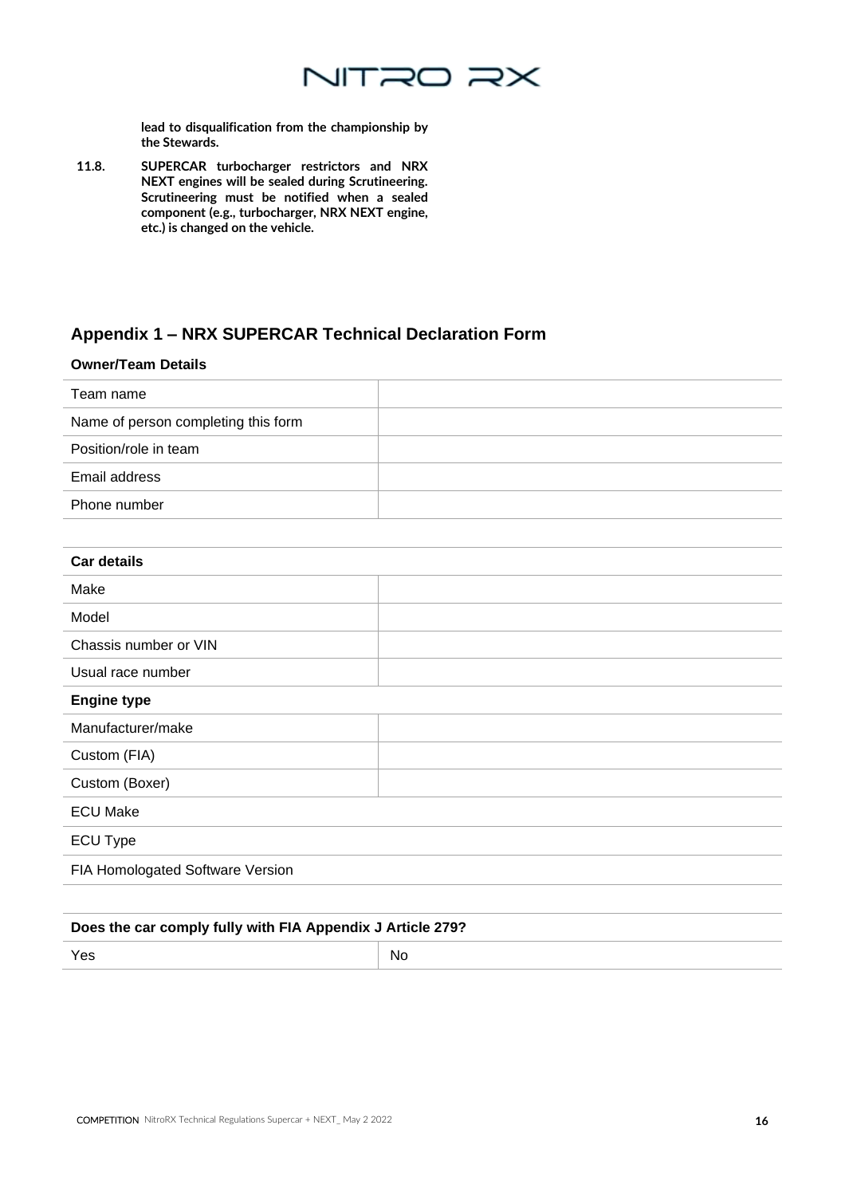

lead to disqualification from the championship by the Stewards.

11.8. SUPERCAR turbocharger restrictors and NRX NEXT engines will be sealed during Scrutineering. Scrutineering must be notified when a sealed component (e.g., turbocharger, NRX NEXT engine, etc.) is changed on the vehicle.

### **Appendix 1 – NRX SUPERCAR Technical Declaration Form**

### **Owner/Team Details** Team name Name of person completing this form Position/role in team Email address Phone number

| <b>Car details</b>               |  |
|----------------------------------|--|
| Make                             |  |
| Model                            |  |
| Chassis number or VIN            |  |
| Usual race number                |  |
| <b>Engine type</b>               |  |
| Manufacturer/make                |  |
| Custom (FIA)                     |  |
| Custom (Boxer)                   |  |
| <b>ECU Make</b>                  |  |
| ECU Type                         |  |
| FIA Homologated Software Version |  |
|                                  |  |

### **Does the car comply fully with FIA Appendix J Article 279?**

Yes and the North State of the North State of the North State of the North State of the North State of the Nor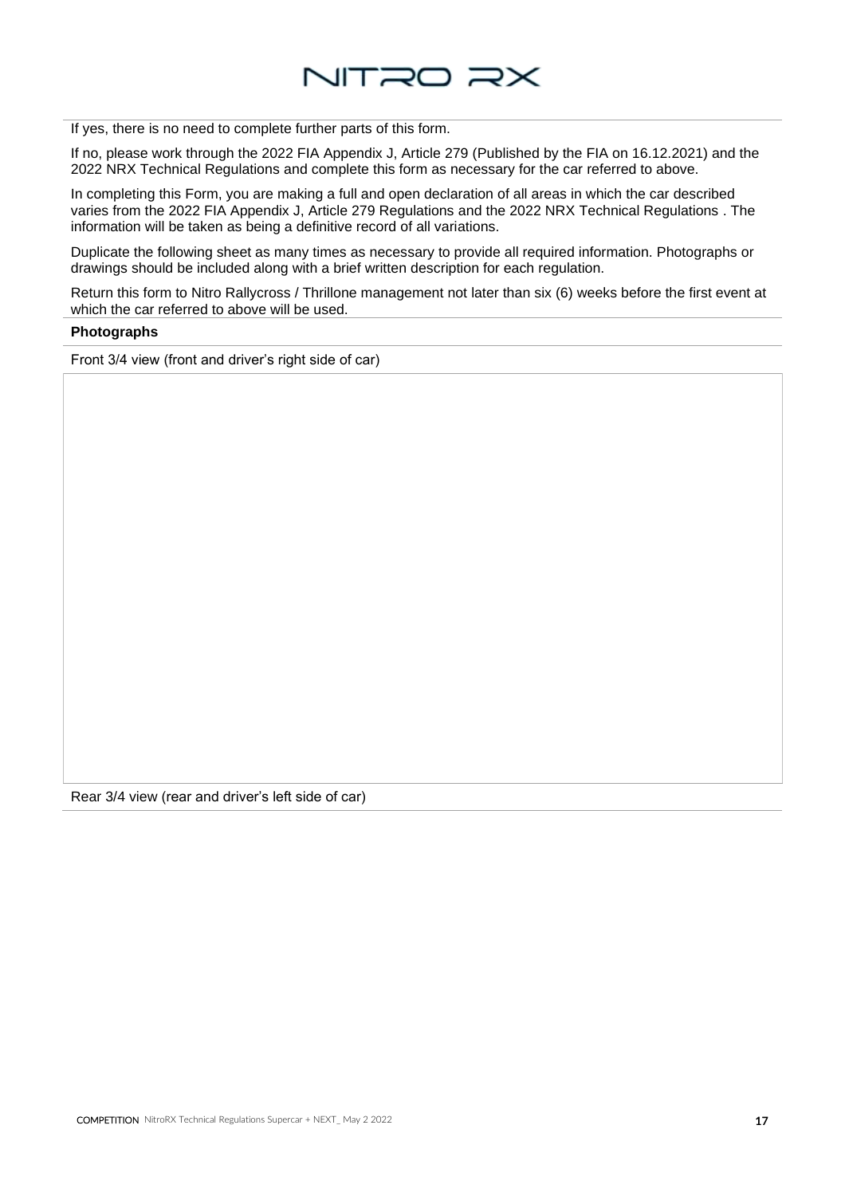

If yes, there is no need to complete further parts of this form.

If no, please work through the 2022 FIA Appendix J, Article 279 (Published by the FIA on 16.12.2021) and the 2022 NRX Technical Regulations and complete this form as necessary for the car referred to above.

In completing this Form, you are making a full and open declaration of all areas in which the car described varies from the 2022 FIA Appendix J, Article 279 Regulations and the 2022 NRX Technical Regulations . The information will be taken as being a definitive record of all variations.

Duplicate the following sheet as many times as necessary to provide all required information. Photographs or drawings should be included along with a brief written description for each regulation.

Return this form to Nitro Rallycross / Thrillone management not later than six (6) weeks before the first event at which the car referred to above will be used.

#### **Photographs**

Front 3/4 view (front and driver's right side of car)

Rear 3/4 view (rear and driver's left side of car)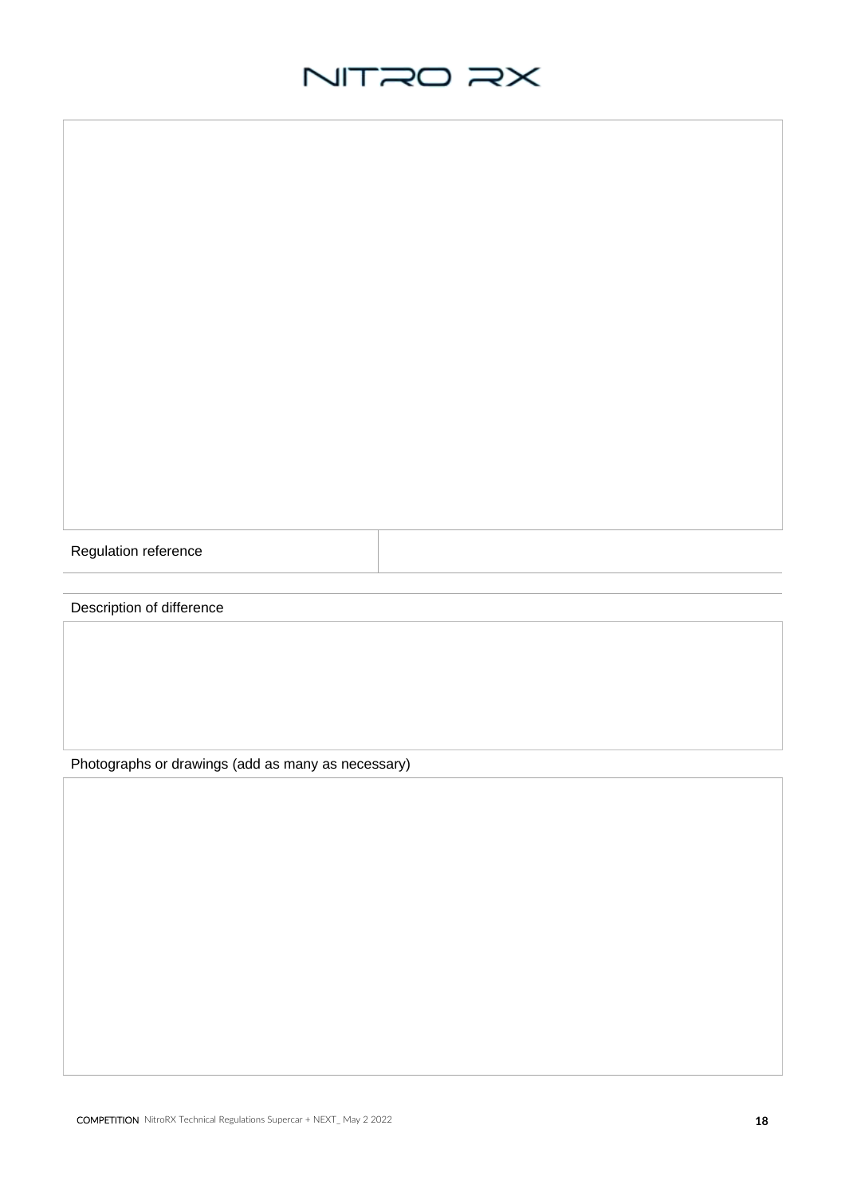Regulation reference

Description of difference

Photographs or drawings (add as many as necessary)